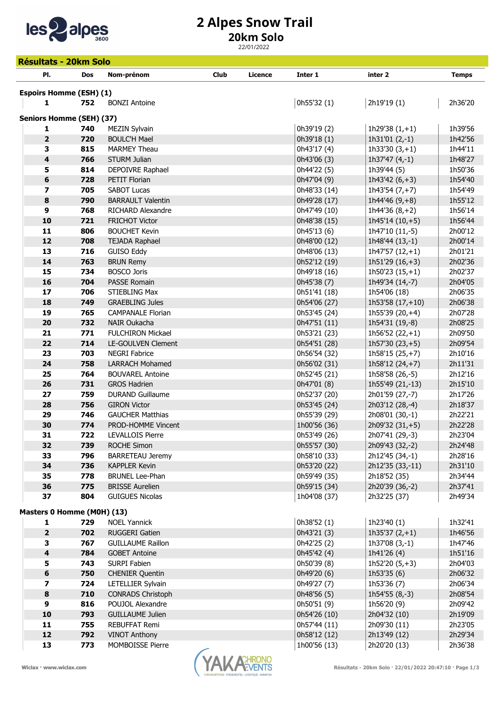

## 2 Alpes Snow Trail

## 20km Solo

22/01/2022

| <b>Résultats - 20km Solo</b>                |            |                                                |             |         |                              |                                      |                    |  |
|---------------------------------------------|------------|------------------------------------------------|-------------|---------|------------------------------|--------------------------------------|--------------------|--|
| PI.                                         | <b>Dos</b> | Nom-prénom                                     | <b>Club</b> | Licence | Inter 1                      | inter <sub>2</sub>                   | <b>Temps</b>       |  |
|                                             |            |                                                |             |         |                              |                                      |                    |  |
| <b>Espoirs Homme (ESH) (1)</b><br>1         | 752        | <b>BONZI Antoine</b>                           |             |         | 0h55'32 (1)                  | 2h19'19 (1)                          | 2h36'20            |  |
|                                             |            |                                                |             |         |                              |                                      |                    |  |
| <b>Seniors Homme (SEH) (37)</b>             |            |                                                |             |         |                              |                                      |                    |  |
| 1                                           | 740        | <b>MEZIN Sylvain</b>                           |             |         | 0h39'19 (2)                  | 1h29'38 $(1,+1)$                     | 1h39'56            |  |
| $\overline{\mathbf{2}}$                     | 720        | <b>BOULC'H Mael</b>                            |             |         | 0h39'18 (1)                  | 1 $h31'01(2,-1)$                     | 1h42'56            |  |
| 3                                           | 815        | <b>MARMEY Theau</b>                            |             |         | 0h43'17 (4)                  | $1h33'30(3,+1)$                      | 1h44'11            |  |
| $\overline{\mathbf{4}}$                     | 766        | <b>STURM Julian</b>                            |             |         | 0h43'06 (3)                  | 1h37'47 $(4,-1)$                     | 1h48'27            |  |
| 5                                           | 814        | DEPOIVRE Raphael                               |             |         | 0h44'22 (5)                  | 1h39'44 (5)                          | 1h50'36            |  |
| $\boldsymbol{6}$<br>$\overline{\mathbf{z}}$ | 728<br>705 | PETIT Florian                                  |             |         | 0h47'04 (9)                  | 1h43'42 $(6, +3)$                    | 1h54'40            |  |
| $\pmb{8}$                                   | 790        | <b>SABOT Lucas</b><br><b>BARRAULT Valentin</b> |             |         | 0h48'33 (14)<br>0h49'28 (17) | $1h43'54(7,+7)$<br>1h44'46 $(9, +8)$ | 1h54'49<br>1h55'12 |  |
| $\boldsymbol{9}$                            | 768        | RICHARD Alexandre                              |             |         | 0h47'49 (10)                 | 1h44'36 $(8, +2)$                    | 1h56'14            |  |
| 10                                          | 721        | <b>FRICHOT Victor</b>                          |             |         | 0h48'38 (15)                 | 1h45'14 (10,+5)                      | 1h56'44            |  |
| 11                                          | 806        | <b>BOUCHET Kevin</b>                           |             |         | 0h45'13 (6)                  | 1h47'10 (11,-5)                      | 2h00'12            |  |
| 12                                          | 708        | <b>TEJADA Raphael</b>                          |             |         | 0h48'00 (12)                 | 1h48'44 (13,-1)                      | 2h00'14            |  |
| 13                                          | 716        | <b>GUISO Eddy</b>                              |             |         | 0h48'06 (13)                 | $1h47'57(12,+1)$                     | 2h01'21            |  |
| 14                                          | 763        | <b>BRUN Remy</b>                               |             |         | 0h52'12 (19)                 | $1h51'29(16,+3)$                     | 2h02'36            |  |
| 15                                          | 734        | <b>BOSCO Joris</b>                             |             |         | 0h49'18 (16)                 | $1h50'23(15,+1)$                     | 2h02'37            |  |
| 16                                          | 704        | PASSE Romain                                   |             |         | 0h45'38 (7)                  | 1h49'34 (14,-7)                      | 2h04'05            |  |
| 17                                          | 706        | <b>STIEBLING Max</b>                           |             |         | 0h51'41 (18)                 | 1h54'06 (18)                         | 2h06'35            |  |
| 18                                          | 749        | <b>GRAEBLING Jules</b>                         |             |         | 0h54'06 (27)                 | 1h53'58 $(17, +10)$                  | 2h06'38            |  |
| 19                                          | 765        | <b>CAMPANALE Florian</b>                       |             |         | 0h53'45 (24)                 | 1h55'39 (20,+4)                      | 2h07'28            |  |
| 20                                          | 732        | NAIR Oukacha                                   |             |         | 0h47'51 (11)                 | 1h54'31 (19,-8)                      | 2h08'25            |  |
| 21                                          | 771        | <b>FULCHIRON Mickael</b>                       |             |         | 0h53'21 (23)                 | 1h56'52 $(22,+1)$                    | 2h09'50            |  |
| 22                                          | 714        | LE-GOULVEN Clement                             |             |         | 0h54'51 (28)                 | $1h57'30(23,+5)$                     | 2h09'54            |  |
| 23                                          | 703        | <b>NEGRI Fabrice</b>                           |             |         | 0h56'54 (32)                 | 1h58'15 (25,+7)                      | 2h10'16            |  |
| 24                                          | 758        | <b>LARRACH Mohamed</b>                         |             |         | 0h56'02 (31)                 | 1h58'12 $(24, +7)$                   | 2h11'31            |  |
| 25                                          | 764        | <b>BOUVAREL Antoine</b>                        |             |         | 0h52'45 (21)                 | 1h58'58 (26,-5)                      | 2h12'16            |  |
| 26                                          | 731        | <b>GROS Hadrien</b>                            |             |         | 0h47'01 (8)<br>0h52'37 (20)  | 1h55'49 (21,-13)                     | 2h15'10            |  |
| 27<br>28                                    | 759<br>756 | <b>DURAND Guillaume</b><br><b>GIRON Victor</b> |             |         | 0h53'45 (24)                 | 2h01'59 (27,-7)<br>2h03'12 (28,-4)   | 2h17'26<br>2h18'37 |  |
| 29                                          | 746        | <b>GAUCHER Matthias</b>                        |             |         | 0h55'39 (29)                 | 2h08'01 (30,-1)                      | 2h22'21            |  |
| 30                                          | 774        | PROD-HOMME Vincent                             |             |         | 1h00'56 (36)                 | 2h09'32 (31,+5)                      | 2h22'28            |  |
| 31                                          | 722        | LEVALLOIS Pierre                               |             |         | 0h53'49 (26)                 | 2h07'41 (29,-3)                      | 2h23'04            |  |
| 32                                          | 739        | ROCHE Simon                                    |             |         | 0h55'57 (30)                 | 2h09'43 (32,-2)                      | 2h24'48            |  |
| 33                                          | 796        | <b>BARRETEAU Jeremy</b>                        |             |         | 0h58'10 (33)                 | 2h12'45 (34,-1)                      | 2h28'16            |  |
| 34                                          | 736        | <b>KAPPLER Kevin</b>                           |             |         | 0h53'20 (22)                 | 2h12'35 (33,-11)                     | 2h31'10            |  |
| 35                                          | 778        | <b>BRUNEL Lee-Phan</b>                         |             |         | 0h59'49 (35)                 | 2h18'52 (35)                         | 2h34'44            |  |
| 36                                          | 775        | <b>BRISSE Aurelien</b>                         |             |         | 0h59'15 (34)                 | 2h20'39 (36,-2)                      | 2h37'41            |  |
| 37                                          | 804        | <b>GUIGUES Nicolas</b>                         |             |         | 1h04'08 (37)                 | 2h32'25 (37)                         | 2h49'34            |  |
| Masters 0 Homme (M0H) (13)                  |            |                                                |             |         |                              |                                      |                    |  |
| 1                                           | 729        | <b>NOEL Yannick</b>                            |             |         | 0h38'52 (1)                  | 1h23'40 (1)                          | 1h32'41            |  |
| $\overline{2}$                              | 702        | <b>RUGGERI Gatien</b>                          |             |         | 0h43'21 (3)                  | 1h35'37 $(2,+1)$                     | 1h46'56            |  |
| з                                           | 767        | <b>GUILLAUME Raillon</b>                       |             |         | 0h42'25 (2)                  | $1h37'08(3,-1)$                      | 1h47'46            |  |
| $\overline{\mathbf{4}}$                     | 784        | <b>GOBET Antoine</b>                           |             |         | 0h45'42 (4)                  | 1h41'26 (4)                          | 1h51'16            |  |
| 5                                           | 743        | SURPI Fabien                                   |             |         | 0h50'39 (8)                  | $1h52'20(5,+3)$                      | 2h04'03            |  |
| $\bf 6$                                     | 750        | <b>CHENIER Quentin</b>                         |             |         | 0h49'20 (6)                  | 1h53'35 (6)                          | 2h06'32            |  |
| $\overline{\mathbf{z}}$                     | 724        | LETELLIER Sylvain                              |             |         | 0h49'27 (7)                  | 1h53'36 (7)                          | 2h06'34            |  |
| $\bf8$                                      | 710        | <b>CONRADS Christoph</b>                       |             |         | 0h48'56 (5)                  | $1h54'55(8,-3)$                      | 2h08'54            |  |
| $\boldsymbol{9}$                            | 816        | POUJOL Alexandre                               |             |         | 0h50'51 (9)                  | 1h56'20 (9)                          | 2h09'42            |  |
| 10                                          | 793        | <b>GUILLAUME Julien</b>                        |             |         | 0h54'26 (10)                 | 2h04'32 (10)                         | 2h19'09            |  |
| 11<br>12                                    | 755        | <b>REBUFFAT Remi</b>                           |             |         | 0h57'44 (11)                 | 2h09'30 (11)                         | 2h23'05            |  |
| 13                                          | 792<br>773 | <b>VINOT Anthony</b><br>MOMBOISSE Pierre       |             |         | 0h58'12 (12)<br>1h00'56 (13) | 2h13'49 (12)<br>2h20'20 (13)         | 2h29'34<br>2h36'38 |  |
|                                             |            |                                                |             |         |                              |                                      |                    |  |

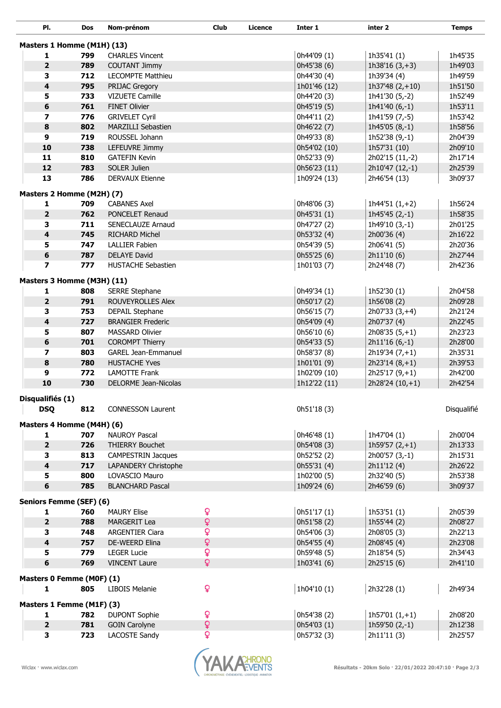| PI.                                       | Dos        | Nom-prénom                                         | <b>Club</b>    | Licence | Inter 1                    | inter 2                        | <b>Temps</b>       |
|-------------------------------------------|------------|----------------------------------------------------|----------------|---------|----------------------------|--------------------------------|--------------------|
|                                           |            |                                                    |                |         |                            |                                |                    |
| Masters 1 Homme (M1H) (13)                | 799        |                                                    |                |         |                            | 1h35'41 (1)                    | 1h45'35            |
| 1<br>$\overline{\mathbf{2}}$              | 789        | <b>CHARLES Vincent</b><br><b>COUTANT Jimmy</b>     |                |         | 0h44'09 (1)<br>0h45'38 (6) | 1h38'16 $(3, +3)$              | 1h49'03            |
| 3                                         | 712        | <b>LECOMPTE Matthieu</b>                           |                |         | 0h44'30 (4)                | 1h39'34 (4)                    | 1h49'59            |
| $\overline{\mathbf{4}}$                   | 795        | PRIJAC Gregory                                     |                |         | 1h01'46 (12)               | 1h37'48 $(2,+10)$              | 1h51'50            |
| 5                                         | 733        | <b>VIZUETE Camille</b>                             |                |         | 0h44'20 (3)                | 1h41'30 (5,-2)                 | 1h52'49            |
| $\boldsymbol{6}$                          | 761        | <b>FINET Olivier</b>                               |                |         | 0h45'19 (5)                | 1h41'40 (6,-1)                 | 1h53'11            |
| $\overline{\mathbf{z}}$                   | 776        | <b>GRIVELET Cyril</b>                              |                |         | 0h44'11 (2)                | 1h41'59 (7,-5)                 | 1h53'42            |
| 8                                         | 802        | <b>MARZILLI Sebastien</b>                          |                |         | 0h46'22 (7)                | 1h45'05 (8,-1)                 | 1h58'56            |
| $\boldsymbol{9}$                          | 719        | ROUSSEL Johann                                     |                |         | 0h49'33 (8)                | 1h52'38 (9,-1)                 | 2h04'39            |
| 10                                        | 738        | LEFEUVRE Jimmy                                     |                |         | 0h54'02 (10)               | 1h57'31 (10)                   | 2h09'10            |
| 11                                        | 810        | <b>GATEFIN Kevin</b>                               |                |         | 0h52'33 (9)                | 2h02'15 (11,-2)                | 2h17'14            |
| 12                                        | 783        | SOLER Julien                                       |                |         | 0h56'23 (11)               | 2h10'47 (12,-1)                | 2h25'39            |
| 13                                        | 786        | <b>DERVAUX Etienne</b>                             |                |         | 1h09'24 (13)               | 2h46'54 (13)                   | 3h09'37            |
|                                           |            |                                                    |                |         |                            |                                |                    |
| Masters 2 Homme (M2H) (7)<br>$\mathbf{1}$ | 709        | <b>CABANES Axel</b>                                |                |         | 0h48'06 (3)                | 1h44'51 $(1,+2)$               | 1h56'24            |
| $\overline{\mathbf{2}}$                   | 762        | PONCELET Renaud                                    |                |         | 0h45'31 (1)                | $1h45'45(2,-1)$                | 1h58'35            |
| 3                                         | 711        | SENECLAUZE Arnaud                                  |                |         | 0h47'27 (2)                | $1h49'10(3,-1)$                | 2h01'25            |
| $\overline{\mathbf{4}}$                   | 745        | <b>RICHARD Michel</b>                              |                |         | 0h53'32 (4)                | 2h00'36 (4)                    | 2h16'22            |
| 5                                         | 747        | <b>LALLIER Fabien</b>                              |                |         | 0h54'39 (5)                | 2h06'41 (5)                    | 2h20'36            |
| $\bf 6$                                   | 787        | <b>DELAYE David</b>                                |                |         | 0h55'25 (6)                | 2h11'10 (6)                    | 2h27'44            |
| $\overline{\mathbf{z}}$                   | 777        | <b>HUSTACHE Sebastien</b>                          |                |         | 1h01'03 (7)                | 2h24'48 (7)                    | 2h42'36            |
|                                           |            |                                                    |                |         |                            |                                |                    |
| Masters 3 Homme (M3H) (11)                |            |                                                    |                |         |                            |                                |                    |
| 1                                         | 808        | <b>SERRE Stephane</b>                              |                |         | 0h49'34 (1)                | 1h52'30 (1)                    | 2h04'58            |
| $\overline{\mathbf{2}}$                   | 791        | ROUVEYROLLES Alex                                  |                |         | 0h50'17 (2)                | 1h56'08 (2)                    | 2h09'28            |
| 3<br>4                                    | 753<br>727 | <b>DEPAIL Stephane</b><br><b>BRANGIER Frederic</b> |                |         | 0h56'15 (7)<br>0h54'09 (4) | $2h07'33(3,+4)$<br>2h07'37 (4) | 2h21'24<br>2h22'45 |
| 5                                         | 807        | <b>MASSARD Olivier</b>                             |                |         | 0h56'10 (6)                | $2h08'35(5,+1)$                | 2h23'23            |
| 6                                         | 701        | <b>COROMPT Thierry</b>                             |                |         | 0h54'33 (5)                | $2h11'16(6,-1)$                | 2h28'00            |
| $\overline{\mathbf{z}}$                   | 803        | <b>GAREL Jean-Emmanuel</b>                         |                |         | 0h58'37 (8)                | $2h19'34(7,+1)$                | 2h35'31            |
| 8                                         | 780        | <b>HUSTACHE Yves</b>                               |                |         | 1h01'01 (9)                | $2h23'14(8,+1)$                | 2h39'53            |
| 9                                         | 772        | <b>LAMOTTE Frank</b>                               |                |         | 1h02'09 (10)               | $2h25'17(9,+1)$                | 2h42'00            |
| 10                                        | 730        | DELORME Jean-Nicolas                               |                |         | 1h12'22 (11)               | $2h28'24(10,+1)$               | 2h42'54            |
|                                           |            |                                                    |                |         |                            |                                |                    |
| Disqualifiés (1)                          |            |                                                    |                |         |                            |                                |                    |
| <b>DSQ</b>                                | 812        | <b>CONNESSON Laurent</b>                           |                |         | 0h51'18 (3)                |                                | Disqualifié        |
| Masters 4 Homme (M4H) (6)                 |            |                                                    |                |         |                            |                                |                    |
| $\mathbf{1}$                              | 707        | <b>NAUROY Pascal</b>                               |                |         | 0h46'48 (1)                | 1h47'04 (1)                    | 2h00'04            |
| $\mathbf 2$                               | 726        | <b>THIERRY Bouchet</b>                             |                |         | 0h54'08 (3)                | $1h59'57(2,+1)$                | 2h13'33            |
| 3                                         | 813        | <b>CAMPESTRIN Jacques</b>                          |                |         | 0h52'52 (2)                | $2h00'57(3,-1)$                | 2h15'31            |
| $\overline{\mathbf{4}}$                   | 717        | LAPANDERY Christophe                               |                |         | 0h55'31 (4)                | 2h11'12 (4)                    | 2h26'22            |
| 5                                         | 800        | LOVASCIO Mauro                                     |                |         | 1h02'00 (5)                | 2h32'40 (5)                    | 2h53'38            |
| 6                                         | 785        | <b>BLANCHARD Pascal</b>                            |                |         | 1h09'24 (6)                | 2h46'59 (6)                    | 3h09'37            |
| Seniors Femme (SEF) (6)                   |            |                                                    |                |         |                            |                                |                    |
| 1                                         | 760        | <b>MAURY Elise</b>                                 | Q              |         | 0h51'17(1)                 | 1h53'51 $(1)$                  | 2h05'39            |
| $\mathbf 2$                               | 788        | MARGERIT Lea                                       | $\mathsf{Q}$   |         | 0h51'58 (2)                | 1h55'44 (2)                    | 2h08'27            |
| 3                                         | 748        | <b>ARGENTIER Ciara</b>                             | $\overline{Q}$ |         | 0h54'06 (3)                | 2h08'05 (3)                    | 2h22'13            |
| $\overline{\mathbf{4}}$                   | 757        | DE-WEERD Elina                                     | Q              |         | 0h54'55 (4)                | 2h08'45 (4)                    | 2h23'08            |
| 5                                         | 779        | <b>LEGER Lucie</b>                                 | $\overline{Q}$ |         | 0h59'48 (5)                | 2h18'54 (5)                    | 2h34'43            |
| $\bf 6$                                   | 769        | <b>VINCENT Laure</b>                               | $\overline{Q}$ |         | 1h03'41 (6)                | 2h25'15 (6)                    | 2h41'10            |
| Masters 0 Femme (M0F) (1)                 |            |                                                    |                |         |                            |                                |                    |
| 1                                         | 805        | <b>LIBOIS Melanie</b>                              | Q              |         | 1h04'10 (1)                | 2h32'28 (1)                    | 2h49'34            |
|                                           |            |                                                    |                |         |                            |                                |                    |
| Masters 1 Femme (M1F) (3)                 |            |                                                    |                |         |                            |                                |                    |
| 1                                         | 782        | <b>DUPONT Sophie</b>                               | ò              |         | 0h54'38 (2)                | 1h57'01 $(1,+1)$               | 2h08'20            |
| $\overline{\mathbf{2}}$                   | 781        | <b>GOIN Carolyne</b>                               | $\mathsf{Q}$   |         | 0h54'03 (1)                | 1h59'50 $(2,-1)$               | 2h12'38            |
| з                                         | 723        | LACOSTE Sandy                                      | Q              |         | 0h57'32 (3)                | 2h11'11 (3)                    | 2h25'57            |